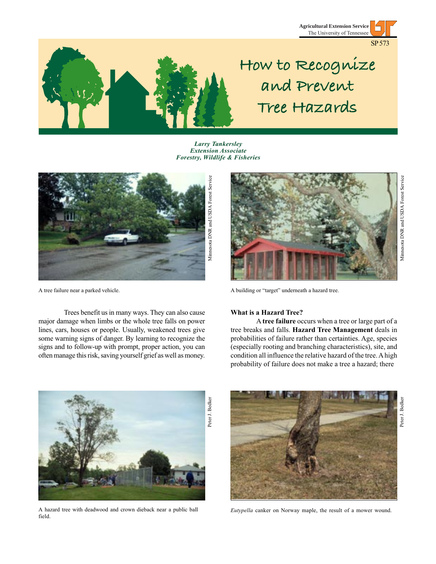





# **How to Recognize and Prevent Tree Hazards**

*Larry Tankersley Extension Associate Forestry, Wildlife & Fisheries*



Trees benefit us in many ways. They can also cause major damage when limbs or the whole tree falls on power lines, cars, houses or people. Usually, weakened trees give some warning signs of danger. By learning to recognize the signs and to follow-up with prompt, proper action, you can often manage this risk, saving yourself grief as well as money.



A tree failure near a parked vehicle. A building or "target" underneath a hazard tree.

# **What is a Hazard Tree?**

A **tree failure** occurs when a tree or large part of a tree breaks and falls. **Hazard Tree Management** deals in probabilities of failure rather than certainties. Age, species (especially rooting and branching characteristics), site, and condition all influence the relative hazard of the tree. A high probability of failure does not make a tree a hazard; there



A hazard tree with deadwood and crown dieback near a public ball field.



*Eutypella* canker on Norway maple, the result of a mower wound.

Peter J. Bedker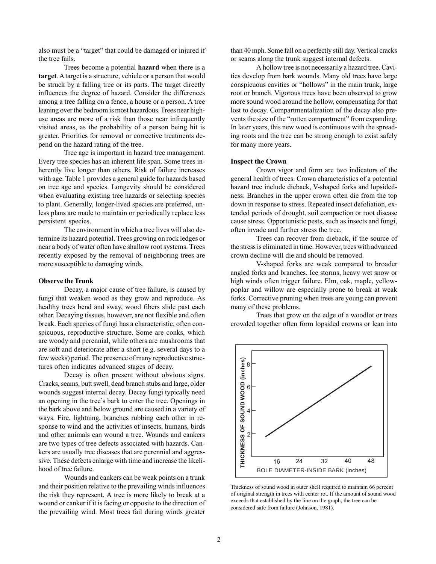also must be a "target" that could be damaged or injured if the tree fails.

Trees become a potential **hazard** when there is a **target**. A target is a structure, vehicle or a person that would be struck by a falling tree or its parts. The target directly influences the degree of hazard. Consider the differences among a tree falling on a fence, a house or a person. A tree leaning over the bedroom is most hazardous. Trees near highuse areas are more of a risk than those near infrequently visited areas, as the probability of a person being hit is greater. Priorities for removal or corrective treatments depend on the hazard rating of the tree.

Tree age is important in hazard tree management. Every tree species has an inherent life span. Some trees inherently live longer than others. Risk of failure increases with age. Table 1 provides a general guide for hazards based on tree age and species. Longevity should be considered when evaluating existing tree hazards or selecting species to plant. Generally, longer-lived species are preferred, unless plans are made to maintain or periodically replace less persistent species.

The environment in which a tree lives will also determine its hazard potential. Trees growing on rock ledges or near a body of water often have shallow root systems. Trees recently exposed by the removal of neighboring trees are more susceptible to damaging winds.

### **Observe the Trunk**

Decay, a major cause of tree failure, is caused by fungi that weaken wood as they grow and reproduce. As healthy trees bend and sway, wood fibers slide past each other. Decaying tissues, however, are not flexible and often break. Each species of fungi has a characteristic, often conspicuous, reproductive structure. Some are conks, which are woody and perennial, while others are mushrooms that are soft and deteriorate after a short (e.g. several days to a few weeks) period. The presence of many reproductive structures often indicates advanced stages of decay.

Decay is often present without obvious signs. Cracks, seams, butt swell, dead branch stubs and large, older wounds suggest internal decay. Decay fungi typically need an opening in the tree's bark to enter the tree. Openings in the bark above and below ground are caused in a variety of ways. Fire, lightning, branches rubbing each other in response to wind and the activities of insects, humans, birds and other animals can wound a tree. Wounds and cankers are two types of tree defects associated with hazards. Cankers are usually tree diseases that are perennial and aggressive. These defects enlarge with time and increase the likelihood of tree failure.

Wounds and cankers can be weak points on a trunk and their position relative to the prevailing winds influences the risk they represent. A tree is more likely to break at a wound or canker if it is facing or opposite to the direction of the prevailing wind. Most trees fail during winds greater than 40 mph. Some fall on a perfectly still day. Vertical cracks or seams along the trunk suggest internal defects.

A hollow tree is not necessarily a hazard tree. Cavities develop from bark wounds. Many old trees have large conspicuous cavities or "hollows" in the main trunk, large root or branch. Vigorous trees have been observed to grow more sound wood around the hollow, compensating for that lost to decay. Compartmentalization of the decay also prevents the size of the "rotten compartment" from expanding. In later years, this new wood is continuous with the spreading roots and the tree can be strong enough to exist safely for many more years.

#### **Inspect the Crown**

Crown vigor and form are two indicators of the general health of trees. Crown characteristics of a potential hazard tree include dieback, V-shaped forks and lopsidedness. Branches in the upper crown often die from the top down in response to stress. Repeated insect defoliation, extended periods of drought, soil compaction or root disease cause stress. Opportunistic pests, such as insects and fungi, often invade and further stress the tree.

Trees can recover from dieback, if the source of the stress is eliminated in time. However, trees with advanced crown decline will die and should be removed.

V-shaped forks are weak compared to broader angled forks and branches. Ice storms, heavy wet snow or high winds often trigger failure. Elm, oak, maple, yellowpoplar and willow are especially prone to break at weak forks. Corrective pruning when trees are young can prevent many of these problems.

Trees that grow on the edge of a woodlot or trees crowded together often form lopsided crowns or lean into



Thickness of sound wood in outer shell required to maintain 66 percent of original strength in trees with center rot. If the amount of sound wood exceeds that established by the line on the graph, the tree can be considered safe from failure (Johnson, 1981).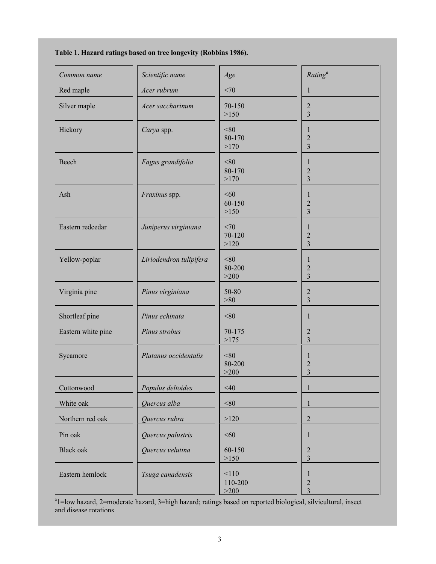# **Table 1. Hazard ratings based on tree longevity (Robbins 1986).**

| Common name        | Scientific name         | Age                    | Rating <sup>a</sup>                                      |
|--------------------|-------------------------|------------------------|----------------------------------------------------------|
| Red maple          | Acer rubrum             | <70                    | $\mathbf{1}$                                             |
| Silver maple       | Acer saccharinum        | 70-150<br>>150         | $\sqrt{2}$<br>$\overline{3}$                             |
| Hickory            | Carya spp.              | < 80<br>80-170<br>>170 | 1<br>$\overline{c}$<br>3                                 |
| Beech              | Fagus grandifolia       | < 80<br>80-170<br>>170 | 1<br>$\overline{c}$<br>3                                 |
| Ash                | Fraxinus spp.           | < 60<br>60-150<br>>150 | 1<br>$\overline{c}$<br>$\overline{3}$                    |
| Eastern redcedar   | Juniperus virginiana    | <70<br>70-120<br>>120  | 1<br>$\overline{2}$<br>$\overline{3}$                    |
| Yellow-poplar      | Liriodendron tulipifera | < 80<br>80-200<br>>200 | $\mathbf 1$<br>$\overline{2}$<br>$\overline{\mathbf{3}}$ |
| Virginia pine      | Pinus virginiana        | 50-80<br>>80           | 2<br>$\overline{3}$                                      |
| Shortleaf pine     | Pinus echinata          | < 80                   | $\mathbf{1}$                                             |
| Eastern white pine | Pinus strobus           | 70-175<br>>175         | $\sqrt{2}$<br>$\overline{3}$                             |
| Sycamore           | Platanus occidentalis   | < 80<br>80-200<br>>200 | 1<br>$\overline{c}$<br>$\overline{3}$                    |
| Cottonwood         | Populus deltoides       | $<$ 40                 |                                                          |
| White oak          | Quercus alba            | $<\!\!80$              | 1                                                        |
| Northern red oak   | Quercus rubra           | >120                   | $\overline{2}$                                           |
| Pin oak            | Quercus palustris       | $<\!\!60$              | 1                                                        |
| <b>Black oak</b>   | Quercus velutina        | 60-150<br>>150         | $\overline{2}$<br>3                                      |
| Eastern hemlock    | Tsuga canadensis        | 110<br>110-200<br>>200 | 1<br>$\sqrt{2}$<br>$\overline{3}$                        |

<sup>a</sup>1=low hazard, 2=moderate hazard, 3=high hazard; ratings based on reported biological, silvicultural, insect and disease rotations.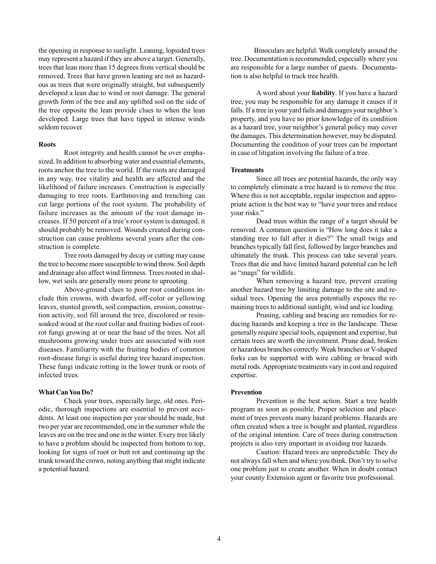the opening in response to sunlight. Leaning, lopsided trees may represent a hazard if they are above a target. Generally, trees that lean more than 15 degrees from vertical should be removed. Trees that have grown leaning are not as hazardous as trees that were originally straight, but subsequently developed a lean due to wind or root damage. The general growth form of the tree and any uplifted soil on the side of the tree opposite the lean provide clues to when the lean developed. Large trees that have tipped in intense winds seldom recover.

#### **Roots**

Root integrity and health cannot be over emphasized. In addition to absorbing water and essential elements, roots anchor the tree to the world. If the roots are damaged in any way, tree vitality and health are affected and the likelihood of failure increases. Construction is especially damaging to tree roots. Earthmoving and trenching can cut large portions of the root system. The probability of failure increases as the amount of the root damage increases. If 50 percent of a tree's root system is damaged, it should probably be removed. Wounds created during construction can cause problems several years after the construction is complete.

Tree roots damaged by decay or cutting may cause the tree to become more susceptible to wind throw. Soil depth and drainage also affect wind firmness. Trees rooted in shallow, wet soils are generally more prone to uprooting.

Above-ground clues to poor root conditions include thin crowns, with dwarfed, off-color or yellowing leaves, stunted growth, soil compaction, erosion, construction activity, soil fill around the tree, discolored or resinsoaked wood at the root collar and fruiting bodies of rootrot fungi growing at or near the base of the trees. Not all mushrooms growing under trees are associated with root diseases. Familiarity with the fruiting bodies of common root-disease fungi is useful during tree hazard inspection. These fungi indicate rotting in the lower trunk or roots of infected trees.

#### **What Can You Do?**

Check your trees, especially large, old ones. Periodic, thorough inspections are essential to prevent accidents. At least one inspection per year should be made, but two per year are recommended, one in the summer while the leaves are on the tree and one in the winter. Every tree likely to have a problem should be inspected from bottom to top, looking for signs of root or butt rot and continuing up the trunk toward the crown, noting anything that might indicate a potential hazard.

 Binoculars are helpful. Walk completely around the tree. Documentation is recommended, especially where you are responsible for a large number of guests. Documentation is also helpful to track tree health.

A word about your **liability**. If you have a hazard tree, you may be responsible for any damage it causes if it falls. If a tree in your yard fails and damages your neighbor's property, and you have no prior knowledge of its condition as a hazard tree, your neighbor's general policy may cover the damages. This determination however, may be disputed. Documenting the condition of your trees can be important in case of litigation involving the failure of a tree.

#### **Treatments**

Since all trees are potential hazards, the only way to completely eliminate a tree hazard is to remove the tree. Where this is not acceptable, regular inspection and appropriate action is the best way to "have your trees and reduce your risks."

Dead trees within the range of a target should be removed. A common question is "How long does it take a standing tree to fall after it dies?" The small twigs and branches typically fall first, followed by larger branches and ultimately the trunk. This process can take several years. Trees that die and have limited hazard potential can be left as "snags" for wildlife.

When removing a hazard tree, prevent creating another hazard tree by limiting damage to the site and residual trees. Opening the area potentially exposes the remaining trees to additional sunlight, wind and ice loading.

Pruning, cabling and bracing are remedies for reducing hazards and keeping a tree in the landscape. These generally require special tools, equipment and expertise, but certain trees are worth the investment. Prune dead, broken or hazardous branches correctly. Weak branches or V-shaped forks can be supported with wire cabling or braced with metal rods. Appropriate treatments vary in cost and required expertise.

#### **Prevention**

Prevention is the best action. Start a tree health program as soon as possible. Proper selection and placement of trees prevents many hazard problems. Hazards are often created when a tree is bought and planted, regardless of the original intention. Care of trees during construction projects is also very important in avoiding tree hazards.

Caution: Hazard trees are unpredictable. They do not always fall when and where you think. Don't try to solve one problem just to create another. When in doubt contact your county Extension agent or favorite tree professional.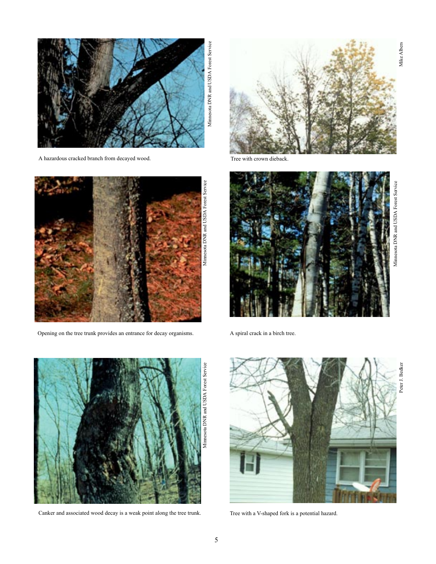

A hazardous cracked branch from decayed wood.



Opening on the tree trunk provides an entrance for decay organisms.



Canker and associated wood decay is a weak point along the tree trunk.



Tree with crown dieback.



A spiral crack in a birch tree.



Tree with a V-shaped fork is a potential hazard.